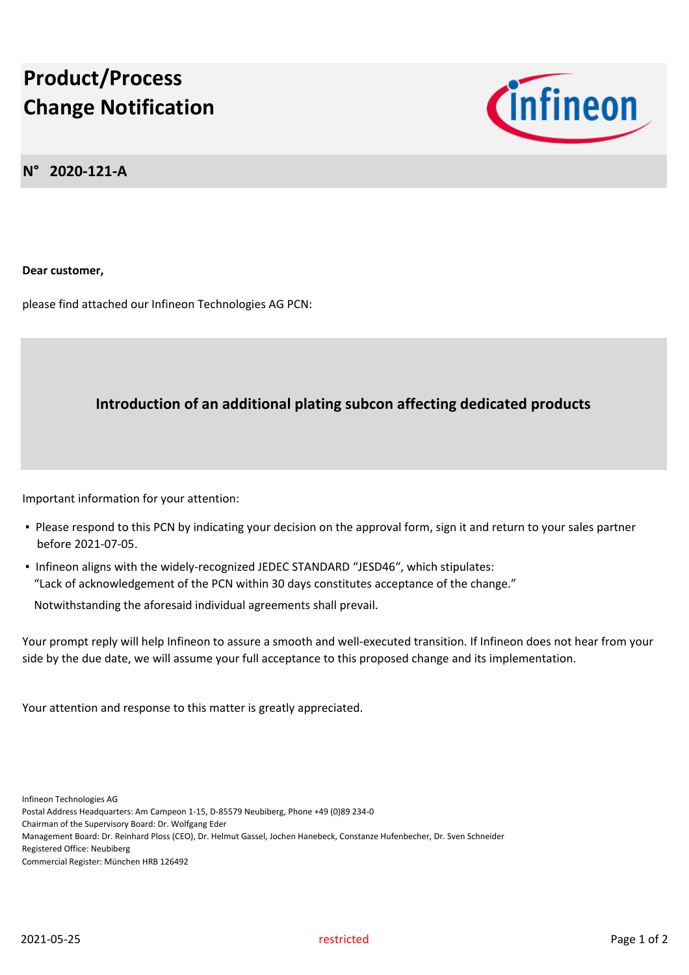## **Product/Process Change Notification**



**N° 2020-121-A**

**Dear customer,**

please find attached our Infineon Technologies AG PCN:

## **Introduction of an additional plating subcon affecting dedicated products**

Important information for your attention:

- Please respond to this PCN by indicating your decision on the approval form, sign it and return to your sales partner before 2021-07-05.
- Infineon aligns with the widely-recognized JEDEC STANDARD "JESD46", which stipulates: "Lack of acknowledgement of the PCN within 30 days constitutes acceptance of the change."

Notwithstanding the aforesaid individual agreements shall prevail.

Your prompt reply will help Infineon to assure a smooth and well-executed transition. If Infineon does not hear from your side by the due date, we will assume your full acceptance to this proposed change and its implementation.

Your attention and response to this matter is greatly appreciated.

Infineon Technologies AG

Postal Address Headquarters: Am Campeon 1-15, D-85579 Neubiberg, Phone +49 (0)89 234-0

Chairman of the Supervisory Board: Dr. Wolfgang Eder

Management Board: Dr. Reinhard Ploss (CEO), Dr. Helmut Gassel, Jochen Hanebeck, Constanze Hufenbecher, Dr. Sven Schneider

Registered Office: Neubiberg

Commercial Register: München HRB 126492